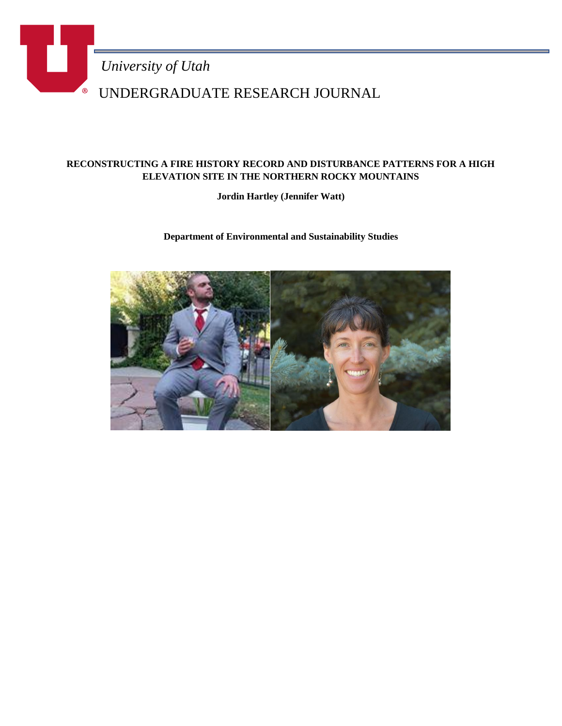

## **RECONSTRUCTING A FIRE HISTORY RECORD AND DISTURBANCE PATTERNS FOR A HIGH ELEVATION SITE IN THE NORTHERN ROCKY MOUNTAINS**

**Jordin Hartley (Jennifer Watt)**

**Department of Environmental and Sustainability Studies**

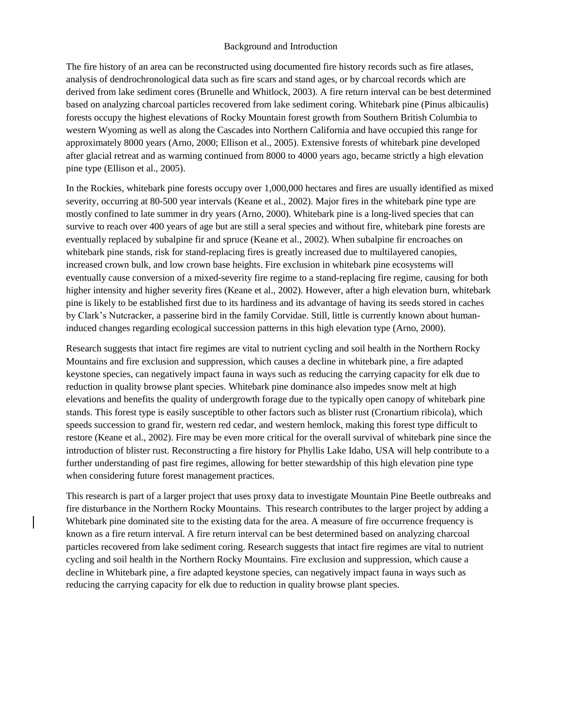## Background and Introduction

The fire history of an area can be reconstructed using documented fire history records such as fire atlases, analysis of dendrochronological data such as fire scars and stand ages, or by charcoal records which are derived from lake sediment cores (Brunelle and Whitlock, 2003). A fire return interval can be best determined based on analyzing charcoal particles recovered from lake sediment coring. Whitebark pine (Pinus albicaulis) forests occupy the highest elevations of Rocky Mountain forest growth from Southern British Columbia to western Wyoming as well as along the Cascades into Northern California and have occupied this range for approximately 8000 years (Arno, 2000; Ellison et al., 2005). Extensive forests of whitebark pine developed after glacial retreat and as warming continued from 8000 to 4000 years ago, became strictly a high elevation pine type (Ellison et al., 2005).

In the Rockies, whitebark pine forests occupy over 1,000,000 hectares and fires are usually identified as mixed severity, occurring at 80-500 year intervals (Keane et al., 2002). Major fires in the whitebark pine type are mostly confined to late summer in dry years (Arno, 2000). Whitebark pine is a long-lived species that can survive to reach over 400 years of age but are still a seral species and without fire, whitebark pine forests are eventually replaced by subalpine fir and spruce (Keane et al., 2002). When subalpine fir encroaches on whitebark pine stands, risk for stand-replacing fires is greatly increased due to multilayered canopies, increased crown bulk, and low crown base heights. Fire exclusion in whitebark pine ecosystems will eventually cause conversion of a mixed-severity fire regime to a stand-replacing fire regime, causing for both higher intensity and higher severity fires (Keane et al., 2002). However, after a high elevation burn, whitebark pine is likely to be established first due to its hardiness and its advantage of having its seeds stored in caches by Clark's Nutcracker, a passerine bird in the family Corvidae. Still, little is currently known about humaninduced changes regarding ecological succession patterns in this high elevation type (Arno, 2000).

Research suggests that intact fire regimes are vital to nutrient cycling and soil health in the Northern Rocky Mountains and fire exclusion and suppression, which causes a decline in whitebark pine, a fire adapted keystone species, can negatively impact fauna in ways such as reducing the carrying capacity for elk due to reduction in quality browse plant species. Whitebark pine dominance also impedes snow melt at high elevations and benefits the quality of undergrowth forage due to the typically open canopy of whitebark pine stands. This forest type is easily susceptible to other factors such as blister rust (Cronartium ribicola), which speeds succession to grand fir, western red cedar, and western hemlock, making this forest type difficult to restore (Keane et al., 2002). Fire may be even more critical for the overall survival of whitebark pine since the introduction of blister rust. Reconstructing a fire history for Phyllis Lake Idaho, USA will help contribute to a further understanding of past fire regimes, allowing for better stewardship of this high elevation pine type when considering future forest management practices.

This research is part of a larger project that uses proxy data to investigate Mountain Pine Beetle outbreaks and fire disturbance in the Northern Rocky Mountains. This research contributes to the larger project by adding a Whitebark pine dominated site to the existing data for the area. A measure of fire occurrence frequency is known as a fire return interval. A fire return interval can be best determined based on analyzing charcoal particles recovered from lake sediment coring. Research suggests that intact fire regimes are vital to nutrient cycling and soil health in the Northern Rocky Mountains. Fire exclusion and suppression, which cause a decline in Whitebark pine, a fire adapted keystone species, can negatively impact fauna in ways such as reducing the carrying capacity for elk due to reduction in quality browse plant species.